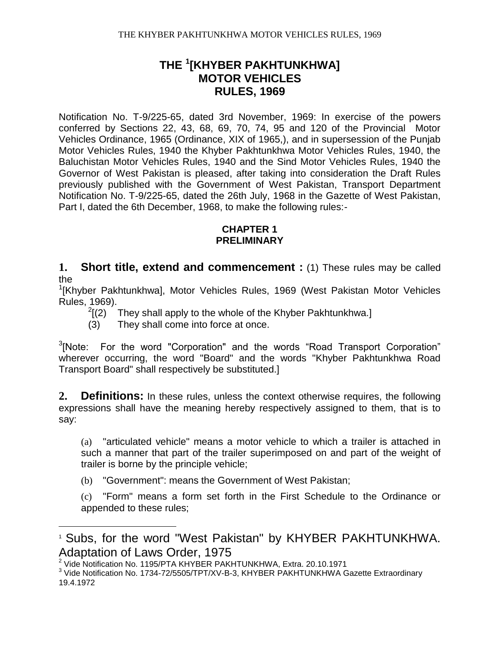Notification No. T-9/225-65, dated 3rd November, 1969: In exercise of the powers conferred by Sections 22, 43, 68, 69, 70, 74, 95 and 120 of the Provincial Motor Vehicles Ordinance, 1965 (Ordinance, XIX of 1965,), and in supersession of the Punjab Motor Vehicles Rules, 1940 the Khyber Pakhtunkhwa Motor Vehicles Rules, 1940, the Baluchistan Motor Vehicles Rules, 1940 and the Sind Motor Vehicles Rules, 1940 the Governor of West Pakistan is pleased, after taking into consideration the Draft Rules previously published with the Government of West Pakistan, Transport Department Notification No. T-9/225-65, dated the 26th July, 1968 in the Gazette of West Pakistan, Part I, dated the 6th December, 1968, to make the following rules:-

#### **CHAPTER 1 PRELIMINARY**

**1. Short title, extend and commencement :** (1) These rules may be called the

<sup>1</sup>[Khyber Pakhtunkhwa], Motor Vehicles Rules, 1969 (West Pakistan Motor Vehicles Rules, 1969).

- $^{2}$ [(2) They shall apply to the whole of the Khyber Pakhtunkhwa.]
- (3) They shall come into force at once.

 $3$ [Note: For the word "Corporation" and the words "Road Transport Corporation" wherever occurring, the word "Board" and the words "Khyber Pakhtunkhwa Road Transport Board" shall respectively be substituted.]

**2. Definitions:** In these rules, unless the context otherwise requires, the following expressions shall have the meaning hereby respectively assigned to them, that is to say:

(a) "articulated vehicle" means a motor vehicle to which a trailer is attached in such a manner that part of the trailer superimposed on and part of the weight of trailer is borne by the principle vehicle;

(b) "Government": means the Government of West Pakistan;

(c) "Form" means a form set forth in the First Schedule to the Ordinance or appended to these rules;

 $\overline{a}$ 

<sup>1</sup> Subs, for the word "West Pakistan" by KHYBER PAKHTUNKHWA. Adaptation of Laws Order, 1975

<sup>2</sup> Vide Notification No. 1195/PTA KHYBER PAKHTUNKHWA, Extra. 20.10.1971

 $3$  Vide Notification No. 1734-72/5505/TPT/XV-B-3, KHYBER PAKHTUNKHWA Gazette Extraordinary 19.4.1972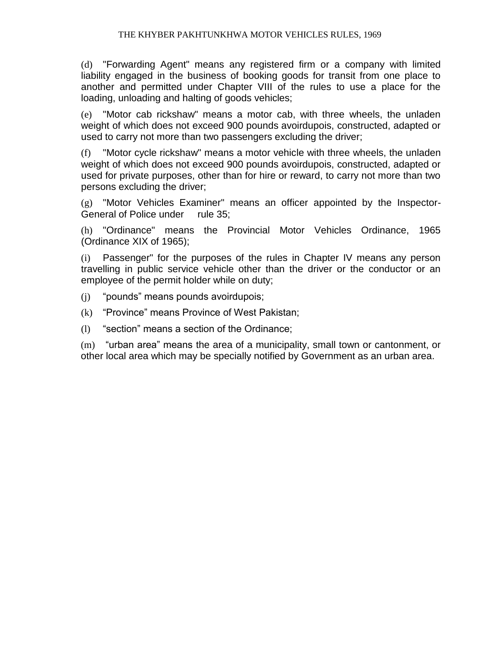(d) "Forwarding Agent" means any registered firm or a company with limited liability engaged in the business of booking goods for transit from one place to another and permitted under Chapter VIII of the rules to use a place for the loading, unloading and halting of goods vehicles;

(e) "Motor cab rickshaw" means a motor cab, with three wheels, the unladen weight of which does not exceed 900 pounds avoirdupois, constructed, adapted or used to carry not more than two passengers excluding the driver;

(f) "Motor cycle rickshaw" means a motor vehicle with three wheels, the unladen weight of which does not exceed 900 pounds avoirdupois, constructed, adapted or used for private purposes, other than for hire or reward, to carry not more than two persons excluding the driver;

(g) "Motor Vehicles Examiner" means an officer appointed by the Inspector-General of Police under rule 35;

(h) "Ordinance" means the Provincial Motor Vehicles Ordinance, 1965 (Ordinance XIX of 1965);

(i) Passenger" for the purposes of the rules in Chapter IV means any person travelling in public service vehicle other than the driver or the conductor or an employee of the permit holder while on duty;

- (j) "pounds" means pounds avoirdupois;
- (k) "Province" means Province of West Pakistan;
- (l) "section" means a section of the Ordinance;

(m) "urban area" means the area of a municipality, small town or cantonment, or other local area which may be specially notified by Government as an urban area.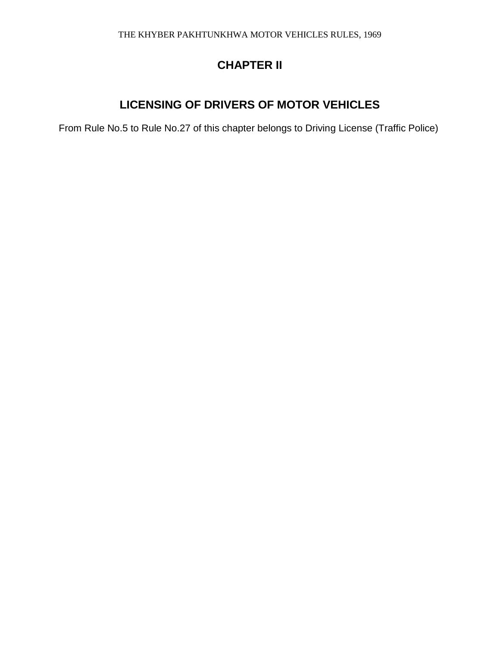# **CHAPTER II**

# **LICENSING OF DRIVERS OF MOTOR VEHICLES**

From Rule No.5 to Rule No.27 of this chapter belongs to Driving License (Traffic Police)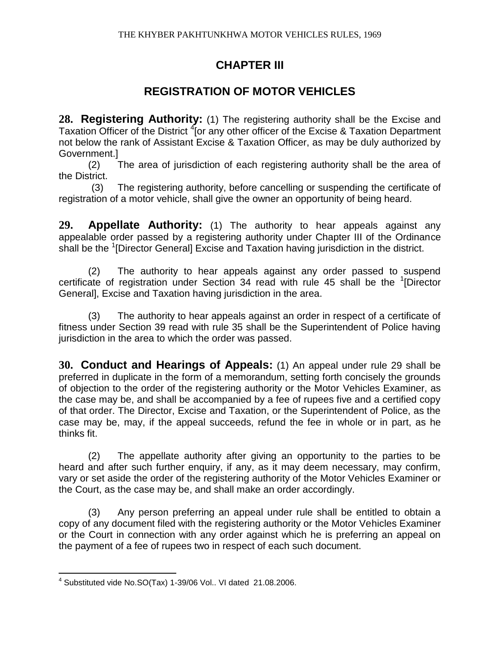## **CHAPTER III**

# **REGISTRATION OF MOTOR VEHICLES**

**28. Registering Authority:** (1) The registering authority shall be the Excise and Taxation Officer of the District <sup>4</sup>[or any other officer of the Excise & Taxation Department not below the rank of Assistant Excise & Taxation Officer, as may be duly authorized by Government.]

(2) The area of jurisdiction of each registering authority shall be the area of the District.

 (3) The registering authority, before cancelling or suspending the certificate of registration of a motor vehicle, shall give the owner an opportunity of being heard.

**29. Appellate Authority:** (1) The authority to hear appeals against any appealable order passed by a registering authority under Chapter III of the Ordinance shall be the <sup>1</sup>[Director General] Excise and Taxation having jurisdiction in the district.

(2) The authority to hear appeals against any order passed to suspend certificate of registration under Section 34 read with rule 45 shall be the <sup>1</sup>[Director General], Excise and Taxation having jurisdiction in the area.

(3) The authority to hear appeals against an order in respect of a certificate of fitness under Section 39 read with rule 35 shall be the Superintendent of Police having jurisdiction in the area to which the order was passed.

**30. Conduct and Hearings of Appeals:** (1) An appeal under rule 29 shall be preferred in duplicate in the form of a memorandum, setting forth concisely the grounds of objection to the order of the registering authority or the Motor Vehicles Examiner, as the case may be, and shall be accompanied by a fee of rupees five and a certified copy of that order. The Director, Excise and Taxation, or the Superintendent of Police, as the case may be, may, if the appeal succeeds, refund the fee in whole or in part, as he thinks fit.

(2) The appellate authority after giving an opportunity to the parties to be heard and after such further enquiry, if any, as it may deem necessary, may confirm, vary or set aside the order of the registering authority of the Motor Vehicles Examiner or the Court, as the case may be, and shall make an order accordingly.

(3) Any person preferring an appeal under rule shall be entitled to obtain a copy of any document filed with the registering authority or the Motor Vehicles Examiner or the Court in connection with any order against which he is preferring an appeal on the payment of a fee of rupees two in respect of each such document.

 $\overline{a}$  $4$  Substituted vide No.SO(Tax) 1-39/06 Vol.. VI dated 21.08.2006.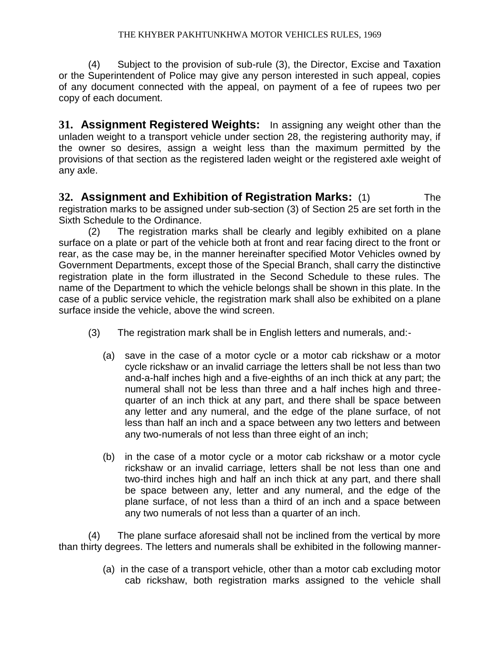(4) Subject to the provision of sub-rule (3), the Director, Excise and Taxation or the Superintendent of Police may give any person interested in such appeal, copies of any document connected with the appeal, on payment of a fee of rupees two per copy of each document.

**31. Assignment Registered Weights:** In assigning any weight other than the unladen weight to a transport vehicle under section 28, the registering authority may, if the owner so desires, assign a weight less than the maximum permitted by the provisions of that section as the registered laden weight or the registered axle weight of any axle.

**32. Assignment and Exhibition of Registration Marks:** (1) The registration marks to be assigned under sub-section (3) of Section 25 are set forth in the Sixth Schedule to the Ordinance.

(2) The registration marks shall be clearly and legibly exhibited on a plane surface on a plate or part of the vehicle both at front and rear facing direct to the front or rear, as the case may be, in the manner hereinafter specified Motor Vehicles owned by Government Departments, except those of the Special Branch, shall carry the distinctive registration plate in the form illustrated in the Second Schedule to these rules. The name of the Department to which the vehicle belongs shall be shown in this plate. In the case of a public service vehicle, the registration mark shall also be exhibited on a plane surface inside the vehicle, above the wind screen.

- (3) The registration mark shall be in English letters and numerals, and:-
	- (a) save in the case of a motor cycle or a motor cab rickshaw or a motor cycle rickshaw or an invalid carriage the letters shall be not less than two and-a-half inches high and a five-eighths of an inch thick at any part; the numeral shall not be less than three and a half inches high and threequarter of an inch thick at any part, and there shall be space between any letter and any numeral, and the edge of the plane surface, of not less than half an inch and a space between any two letters and between any two-numerals of not less than three eight of an inch;
	- (b) in the case of a motor cycle or a motor cab rickshaw or a motor cycle rickshaw or an invalid carriage, letters shall be not less than one and two-third inches high and half an inch thick at any part, and there shall be space between any, letter and any numeral, and the edge of the plane surface, of not less than a third of an inch and a space between any two numerals of not less than a quarter of an inch.

(4) The plane surface aforesaid shall not be inclined from the vertical by more than thirty degrees. The letters and numerals shall be exhibited in the following manner-

> (a) in the case of a transport vehicle, other than a motor cab excluding motor cab rickshaw, both registration marks assigned to the vehicle shall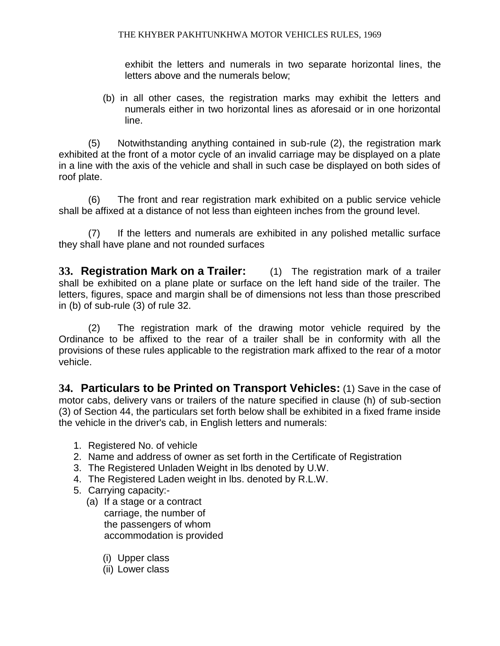exhibit the letters and numerals in two separate horizontal lines, the letters above and the numerals below;

(b) in all other cases, the registration marks may exhibit the letters and numerals either in two horizontal lines as aforesaid or in one horizontal line.

(5) Notwithstanding anything contained in sub-rule (2), the registration mark exhibited at the front of a motor cycle of an invalid carriage may be displayed on a plate in a line with the axis of the vehicle and shall in such case be displayed on both sides of roof plate.

(6) The front and rear registration mark exhibited on a public service vehicle shall be affixed at a distance of not less than eighteen inches from the ground level.

(7) If the letters and numerals are exhibited in any polished metallic surface they shall have plane and not rounded surfaces

**33. Registration Mark on a Trailer:** (1) The registration mark of a trailer shall be exhibited on a plane plate or surface on the left hand side of the trailer. The letters, figures, space and margin shall be of dimensions not less than those prescribed in (b) of sub-rule (3) of rule 32.

(2) The registration mark of the drawing motor vehicle required by the Ordinance to be affixed to the rear of a trailer shall be in conformity with all the provisions of these rules applicable to the registration mark affixed to the rear of a motor vehicle.

**34. Particulars to be Printed on Transport Vehicles:** (1) Save in the case of motor cabs, delivery vans or trailers of the nature specified in clause (h) of sub-section (3) of Section 44, the particulars set forth below shall be exhibited in a fixed frame inside the vehicle in the driver's cab, in English letters and numerals:

- 1. Registered No. of vehicle
- 2. Name and address of owner as set forth in the Certificate of Registration
- 3. The Registered Unladen Weight in lbs denoted by U.W.
- 4. The Registered Laden weight in lbs. denoted by R.L.W.
- 5. Carrying capacity:-
	- (a) If a stage or a contract carriage, the number of the passengers of whom accommodation is provided
		- (i) Upper class
		- (ii) Lower class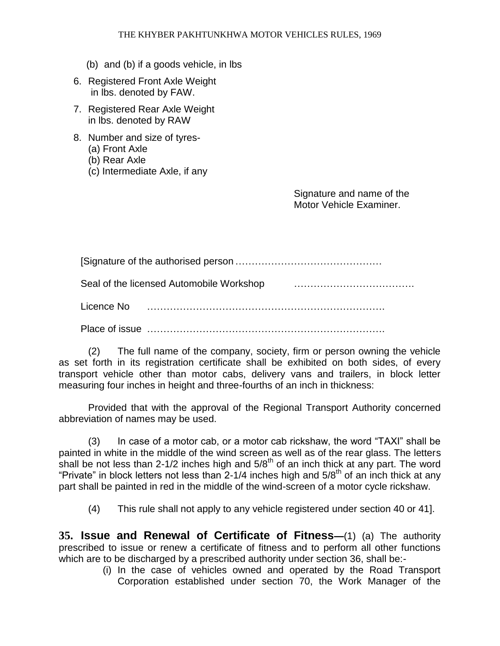- (b) and (b) if a goods vehicle, in lbs
- 6. Registered Front Axle Weight in lbs. denoted by FAW.
- 7. Registered Rear Axle Weight in lbs. denoted by RAW
- 8. Number and size of tyres-
	- (a) Front Axle
	- (b) Rear Axle
	- (c) Intermediate Axle, if any

 Signature and name of the Motor Vehicle Examiner.

 [Signature of the authorised person……………………………………… Seal of the licensed Automobile Workshop ………………………………. Licence No ………………………………………………………………. Place of issue ……………………………………………………………….

(2) The full name of the company, society, firm or person owning the vehicle as set forth in its registration certificate shall be exhibited on both sides, of every transport vehicle other than motor cabs, delivery vans and trailers, in block letter measuring four inches in height and three-fourths of an inch in thickness:

Provided that with the approval of the Regional Transport Authority concerned abbreviation of names may be used.

(3) In case of a motor cab, or a motor cab rickshaw, the word "TAXI" shall be painted in white in the middle of the wind screen as well as of the rear glass. The letters shall be not less than 2-1/2 inches high and  $5/8<sup>th</sup>$  of an inch thick at any part. The word "Private" in block letters not less than 2-1/4 inches high and  $5/8<sup>th</sup>$  of an inch thick at any part shall be painted in red in the middle of the wind-screen of a motor cycle rickshaw.

(4) This rule shall not apply to any vehicle registered under section 40 or 41].

**35. Issue and Renewal of Certificate of Fitness—**(1) (a) The authority prescribed to issue or renew a certificate of fitness and to perform all other functions which are to be discharged by a prescribed authority under section 36, shall be:-

(i) In the case of vehicles owned and operated by the Road Transport Corporation established under section 70, the Work Manager of the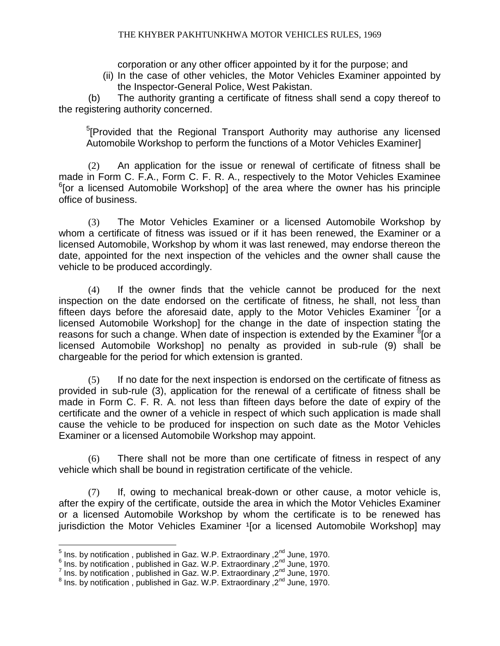corporation or any other officer appointed by it for the purpose; and

(ii) In the case of other vehicles, the Motor Vehicles Examiner appointed by the Inspector-General Police, West Pakistan.

(b) The authority granting a certificate of fitness shall send a copy thereof to the registering authority concerned.

<sup>5</sup>[Provided that the Regional Transport Authority may authorise any licensed Automobile Workshop to perform the functions of a Motor Vehicles Examiner]

(2) An application for the issue or renewal of certificate of fitness shall be made in Form C. F.A., Form C. F. R. A., respectively to the Motor Vehicles Examinee <sup>6</sup>[or a licensed Automobile Workshop] of the area where the owner has his principle office of business.

(3) The Motor Vehicles Examiner or a licensed Automobile Workshop by whom a certificate of fitness was issued or if it has been renewed, the Examiner or a licensed Automobile, Workshop by whom it was last renewed, may endorse thereon the date, appointed for the next inspection of the vehicles and the owner shall cause the vehicle to be produced accordingly.

(4) If the owner finds that the vehicle cannot be produced for the next inspection on the date endorsed on the certificate of fitness, he shall, not less than fifteen days before the aforesaid date, apply to the Motor Vehicles Examiner  $\frac{7}{1}$  or a licensed Automobile Workshop] for the change in the date of inspection stating the reasons for such a change. When date of inspection is extended by the Examiner  $\frac{8}{6}$  [or a licensed Automobile Workshop] no penalty as provided in sub-rule (9) shall be chargeable for the period for which extension is granted.

(5) If no date for the next inspection is endorsed on the certificate of fitness as provided in sub-rule (3), application for the renewal of a certificate of fitness shall be made in Form C. F. R. A. not less than fifteen days before the date of expiry of the certificate and the owner of a vehicle in respect of which such application is made shall cause the vehicle to be produced for inspection on such date as the Motor Vehicles Examiner or a licensed Automobile Workshop may appoint.

(6) There shall not be more than one certificate of fitness in respect of any vehicle which shall be bound in registration certificate of the vehicle.

(7) If, owing to mechanical break-down or other cause, a motor vehicle is, after the expiry of the certificate, outside the area in which the Motor Vehicles Examiner or a licensed Automobile Workshop by whom the certificate is to be renewed has jurisdiction the Motor Vehicles Examiner <sup>1</sup>[or a licensed Automobile Workshop] may

 5 Ins. by notification , published in Gaz. W.P. Extraordinary ,2nd June, 1970.

 $^6$  Ins. by notification , published in Gaz. W.P. Extraordinary ,2<sup>nd</sup> June, 1970.<br><sup>7</sup> Ins. by notification , published in Gaz. W.P. Extraordinary ,2<sup>nd</sup> June, 1970.<br><sup>8</sup> Ins. by notification , published in Gaz. W.P. Extr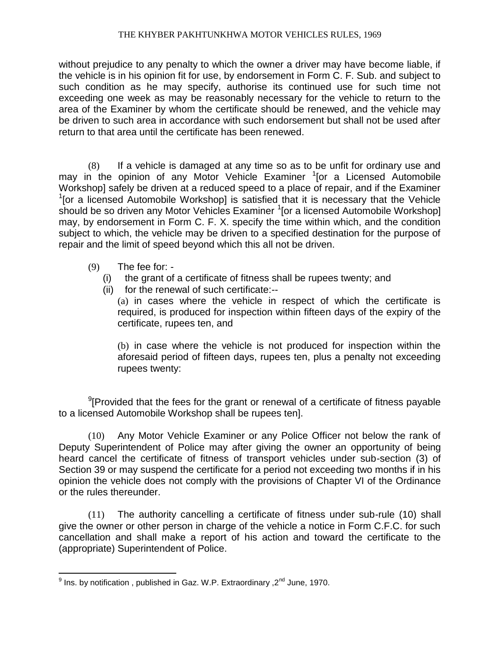without prejudice to any penalty to which the owner a driver may have become liable, if the vehicle is in his opinion fit for use, by endorsement in Form C. F. Sub. and subject to such condition as he may specify, authorise its continued use for such time not exceeding one week as may be reasonably necessary for the vehicle to return to the area of the Examiner by whom the certificate should be renewed, and the vehicle may be driven to such area in accordance with such endorsement but shall not be used after return to that area until the certificate has been renewed.

(8) If a vehicle is damaged at any time so as to be unfit for ordinary use and may in the opinion of any Motor Vehicle Examiner <sup>1</sup>[or a Licensed Automobile Workshop] safely be driven at a reduced speed to a place of repair, and if the Examiner  $1$ [or a licensed Automobile Workshop] is satisfied that it is necessary that the Vehicle should be so driven any Motor Vehicles Examiner <sup>1</sup> [or a licensed Automobile Workshop] may, by endorsement in Form C. F. X. specify the time within which, and the condition subject to which, the vehicle may be driven to a specified destination for the purpose of repair and the limit of speed beyond which this all not be driven.

- $(9)$  The fee for: -
	- (i) the grant of a certificate of fitness shall be rupees twenty; and
	- (ii) for the renewal of such certificate:--

(a) in cases where the vehicle in respect of which the certificate is required, is produced for inspection within fifteen days of the expiry of the certificate, rupees ten, and

(b) in case where the vehicle is not produced for inspection within the aforesaid period of fifteen days, rupees ten, plus a penalty not exceeding rupees twenty:

 $9$ [Provided that the fees for the grant or renewal of a certificate of fitness payable to a licensed Automobile Workshop shall be rupees ten].

(10) Any Motor Vehicle Examiner or any Police Officer not below the rank of Deputy Superintendent of Police may after giving the owner an opportunity of being heard cancel the certificate of fitness of transport vehicles under sub-section (3) of Section 39 or may suspend the certificate for a period not exceeding two months if in his opinion the vehicle does not comply with the provisions of Chapter VI of the Ordinance or the rules thereunder.

(11) The authority cancelling a certificate of fitness under sub-rule (10) shall give the owner or other person in charge of the vehicle a notice in Form C.F.C. for such cancellation and shall make a report of his action and toward the certificate to the (appropriate) Superintendent of Police.

 9 Ins. by notification , published in Gaz. W.P. Extraordinary ,2nd June, 1970.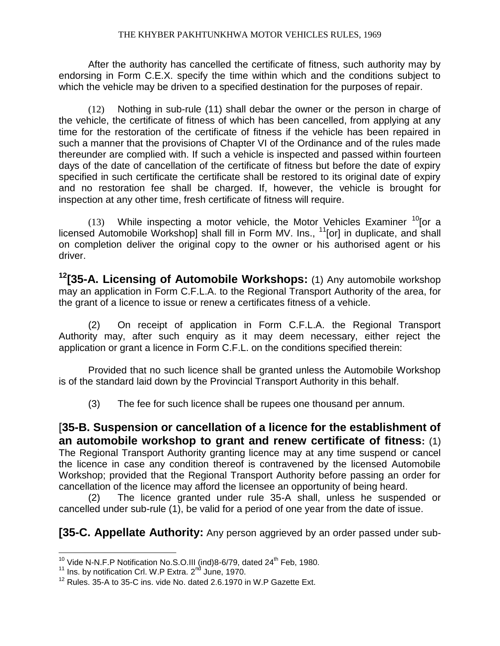After the authority has cancelled the certificate of fitness, such authority may by endorsing in Form C.E.X. specify the time within which and the conditions subject to which the vehicle may be driven to a specified destination for the purposes of repair.

(12) Nothing in sub-rule (11) shall debar the owner or the person in charge of the vehicle, the certificate of fitness of which has been cancelled, from applying at any time for the restoration of the certificate of fitness if the vehicle has been repaired in such a manner that the provisions of Chapter VI of the Ordinance and of the rules made thereunder are complied with. If such a vehicle is inspected and passed within fourteen days of the date of cancellation of the certificate of fitness but before the date of expiry specified in such certificate the certificate shall be restored to its original date of expiry and no restoration fee shall be charged. If, however, the vehicle is brought for inspection at any other time, fresh certificate of fitness will require.

(13) While inspecting a motor vehicle, the Motor Vehicles Examiner  $^{10}$  [or a licensed Automobile Workshop] shall fill in Form MV. Ins.,  $11$ [or] in duplicate, and shall on completion deliver the original copy to the owner or his authorised agent or his driver.

**<sup>12</sup>[35-A. Licensing of Automobile Workshops:** (1) Any automobile workshop may an application in Form C.F.L.A. to the Regional Transport Authority of the area, for the grant of a licence to issue or renew a certificates fitness of a vehicle.

(2) On receipt of application in Form C.F.L.A. the Regional Transport Authority may, after such enquiry as it may deem necessary, either reject the application or grant a licence in Form C.F.L. on the conditions specified therein:

Provided that no such licence shall be granted unless the Automobile Workshop is of the standard laid down by the Provincial Transport Authority in this behalf.

(3) The fee for such licence shall be rupees one thousand per annum.

[**35-B. Suspension or cancellation of a licence for the establishment of an automobile workshop to grant and renew certificate of fitness:** (1) The Regional Transport Authority granting licence may at any time suspend or cancel the licence in case any condition thereof is contravened by the licensed Automobile Workshop; provided that the Regional Transport Authority before passing an order for cancellation of the licence may afford the licensee an opportunity of being heard.

(2) The licence granted under rule 35-A shall, unless he suspended or cancelled under sub-rule (1), be valid for a period of one year from the date of issue.

**[35-C. Appellate Authority:** Any person aggrieved by an order passed under sub-

 $\overline{a}$ <sup>10</sup> Vide N-N.F.P Notification No.S.O.III (ind)8-6/79, dated 24<sup>th</sup> Feb, 1980.

<sup>&</sup>lt;sup>11</sup> Ins. by notification Crl. W.P Extra. 2<sup>nd</sup> June, 1970.

 $12$  Rules. 35-A to 35-C ins. vide No. dated 2.6.1970 in W.P Gazette Ext.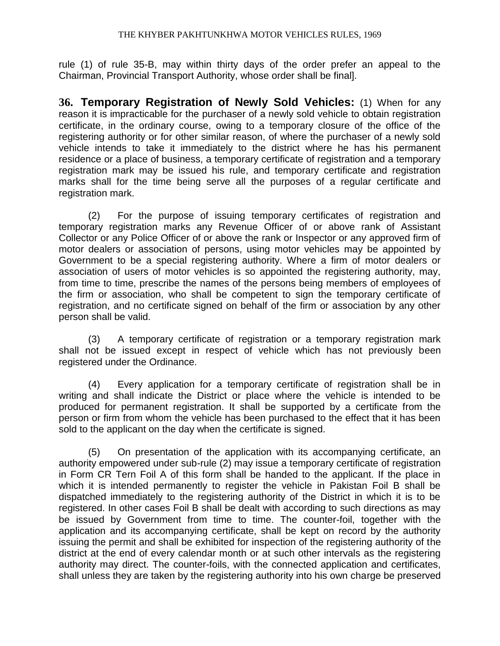rule (1) of rule 35-B, may within thirty days of the order prefer an appeal to the Chairman, Provincial Transport Authority, whose order shall be final].

**36. Temporary Registration of Newly Sold Vehicles:** (1) When for any reason it is impracticable for the purchaser of a newly sold vehicle to obtain registration certificate, in the ordinary course, owing to a temporary closure of the office of the registering authority or for other similar reason, of where the purchaser of a newly sold vehicle intends to take it immediately to the district where he has his permanent residence or a place of business, a temporary certificate of registration and a temporary registration mark may be issued his rule, and temporary certificate and registration marks shall for the time being serve all the purposes of a regular certificate and registration mark.

(2) For the purpose of issuing temporary certificates of registration and temporary registration marks any Revenue Officer of or above rank of Assistant Collector or any Police Officer of or above the rank or Inspector or any approved firm of motor dealers or association of persons, using motor vehicles may be appointed by Government to be a special registering authority. Where a firm of motor dealers or association of users of motor vehicles is so appointed the registering authority, may, from time to time, prescribe the names of the persons being members of employees of the firm or association, who shall be competent to sign the temporary certificate of registration, and no certificate signed on behalf of the firm or association by any other person shall be valid.

(3) A temporary certificate of registration or a temporary registration mark shall not be issued except in respect of vehicle which has not previously been registered under the Ordinance.

(4) Every application for a temporary certificate of registration shall be in writing and shall indicate the District or place where the vehicle is intended to be produced for permanent registration. It shall be supported by a certificate from the person or firm from whom the vehicle has been purchased to the effect that it has been sold to the applicant on the day when the certificate is signed.

(5) On presentation of the application with its accompanying certificate, an authority empowered under sub-rule (2) may issue a temporary certificate of registration in Form CR Tern Foil A of this form shall be handed to the applicant. If the place in which it is intended permanently to register the vehicle in Pakistan Foil B shall be dispatched immediately to the registering authority of the District in which it is to be registered. In other cases Foil B shall be dealt with according to such directions as may be issued by Government from time to time. The counter-foil, together with the application and its accompanying certificate, shall be kept on record by the authority issuing the permit and shall be exhibited for inspection of the registering authority of the district at the end of every calendar month or at such other intervals as the registering authority may direct. The counter-foils, with the connected application and certificates, shall unless they are taken by the registering authority into his own charge be preserved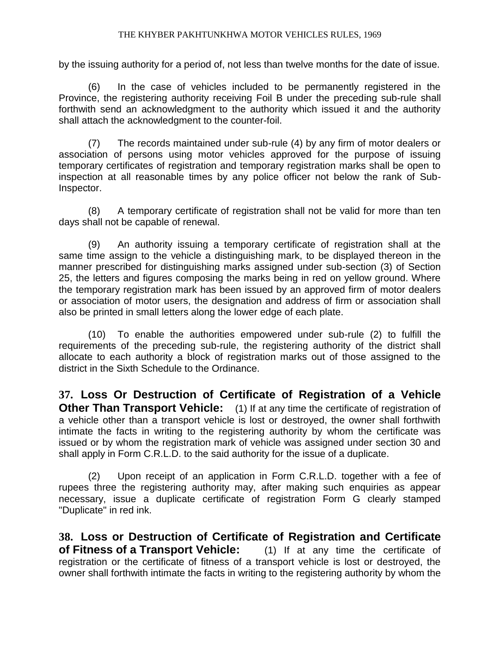by the issuing authority for a period of, not less than twelve months for the date of issue.

(6) In the case of vehicles included to be permanently registered in the Province, the registering authority receiving Foil B under the preceding sub-rule shall forthwith send an acknowledgment to the authority which issued it and the authority shall attach the acknowledgment to the counter-foil.

(7) The records maintained under sub-rule (4) by any firm of motor dealers or association of persons using motor vehicles approved for the purpose of issuing temporary certificates of registration and temporary registration marks shall be open to inspection at all reasonable times by any police officer not below the rank of Sub-Inspector.

(8) A temporary certificate of registration shall not be valid for more than ten days shall not be capable of renewal.

(9) An authority issuing a temporary certificate of registration shall at the same time assign to the vehicle a distinguishing mark, to be displayed thereon in the manner prescribed for distinguishing marks assigned under sub-section (3) of Section 25, the letters and figures composing the marks being in red on yellow ground. Where the temporary registration mark has been issued by an approved firm of motor dealers or association of motor users, the designation and address of firm or association shall also be printed in small letters along the lower edge of each plate.

(10) To enable the authorities empowered under sub-rule (2) to fulfill the requirements of the preceding sub-rule, the registering authority of the district shall allocate to each authority a block of registration marks out of those assigned to the district in the Sixth Schedule to the Ordinance.

**37. Loss Or Destruction of Certificate of Registration of a Vehicle Other Than Transport Vehicle:** (1) If at any time the certificate of registration of a vehicle other than a transport vehicle is lost or destroyed, the owner shall forthwith intimate the facts in writing to the registering authority by whom the certificate was issued or by whom the registration mark of vehicle was assigned under section 30 and shall apply in Form C.R.L.D. to the said authority for the issue of a duplicate.

(2) Upon receipt of an application in Form C.R.L.D. together with a fee of rupees three the registering authority may, after making such enquiries as appear necessary, issue a duplicate certificate of registration Form G clearly stamped "Duplicate" in red ink.

**38. Loss or Destruction of Certificate of Registration and Certificate of Fitness of a Transport Vehicle:** (1) If at any time the certificate of registration or the certificate of fitness of a transport vehicle is lost or destroyed, the owner shall forthwith intimate the facts in writing to the registering authority by whom the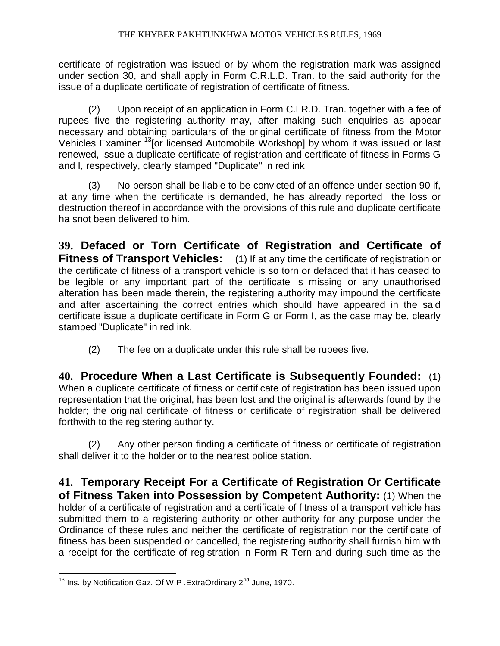certificate of registration was issued or by whom the registration mark was assigned under section 30, and shall apply in Form C.R.L.D. Tran. to the said authority for the issue of a duplicate certificate of registration of certificate of fitness.

(2) Upon receipt of an application in Form C.LR.D. Tran. together with a fee of rupees five the registering authority may, after making such enquiries as appear necessary and obtaining particulars of the original certificate of fitness from the Motor Vehicles Examiner <sup>13</sup>[or licensed Automobile Workshop] by whom it was issued or last renewed, issue a duplicate certificate of registration and certificate of fitness in Forms G and I, respectively, clearly stamped "Duplicate" in red ink

(3) No person shall be liable to be convicted of an offence under section 90 if, at any time when the certificate is demanded, he has already reported the loss or destruction thereof in accordance with the provisions of this rule and duplicate certificate ha snot been delivered to him.

**39. Defaced or Torn Certificate of Registration and Certificate of Fitness of Transport Vehicles:** (1) If at any time the certificate of registration or the certificate of fitness of a transport vehicle is so torn or defaced that it has ceased to be legible or any important part of the certificate is missing or any unauthorised alteration has been made therein, the registering authority may impound the certificate and after ascertaining the correct entries which should have appeared in the said certificate issue a duplicate certificate in Form G or Form I, as the case may be, clearly stamped "Duplicate" in red ink.

(2) The fee on a duplicate under this rule shall be rupees five.

**40. Procedure When a Last Certificate is Subsequently Founded:** (1) When a duplicate certificate of fitness or certificate of registration has been issued upon representation that the original, has been lost and the original is afterwards found by the holder; the original certificate of fitness or certificate of registration shall be delivered forthwith to the registering authority.

(2) Any other person finding a certificate of fitness or certificate of registration shall deliver it to the holder or to the nearest police station.

**41. Temporary Receipt For a Certificate of Registration Or Certificate of Fitness Taken into Possession by Competent Authority:** (1) When the holder of a certificate of registration and a certificate of fitness of a transport vehicle has submitted them to a registering authority or other authority for any purpose under the Ordinance of these rules and neither the certificate of registration nor the certificate of fitness has been suspended or cancelled, the registering authority shall furnish him with a receipt for the certificate of registration in Form R Tern and during such time as the

 $\overline{a}$  $13$  Ins. by Notification Gaz. Of W.P .ExtraOrdinary 2<sup>nd</sup> June, 1970.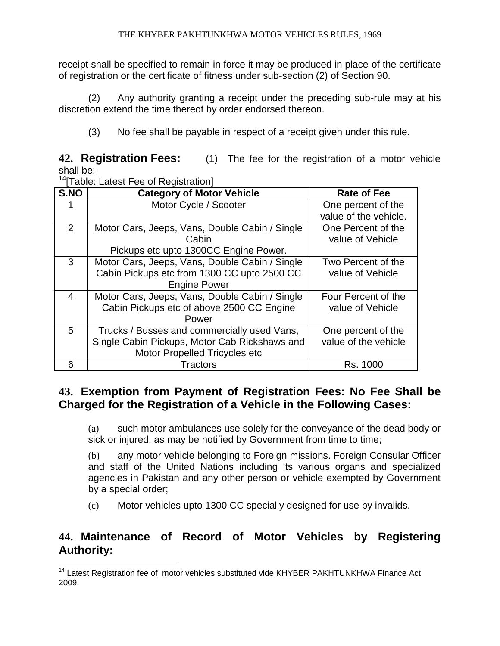receipt shall be specified to remain in force it may be produced in place of the certificate of registration or the certificate of fitness under sub-section (2) of Section 90.

(2) Any authority granting a receipt under the preceding sub-rule may at his discretion extend the time thereof by order endorsed thereon.

(3) No fee shall be payable in respect of a receipt given under this rule.

**42. Registration Fees:** (1) The fee for the registration of a motor vehicle shall be:-

<sup>14</sup> Table: Latest Fee of Registration]

 $\overline{a}$ 

| S.NO | <b>Category of Motor Vehicle</b>               | <b>Rate of Fee</b>    |
|------|------------------------------------------------|-----------------------|
|      | Motor Cycle / Scooter                          | One percent of the    |
|      |                                                | value of the vehicle. |
| 2    | Motor Cars, Jeeps, Vans, Double Cabin / Single | One Percent of the    |
|      | Cabin                                          | value of Vehicle      |
|      | Pickups etc upto 1300CC Engine Power.          |                       |
| 3    | Motor Cars, Jeeps, Vans, Double Cabin / Single | Two Percent of the    |
|      | Cabin Pickups etc from 1300 CC upto 2500 CC    | value of Vehicle      |
|      | <b>Engine Power</b>                            |                       |
| 4    | Motor Cars, Jeeps, Vans, Double Cabin / Single | Four Percent of the   |
|      | Cabin Pickups etc of above 2500 CC Engine      | value of Vehicle      |
|      | Power                                          |                       |
| 5    | Trucks / Busses and commercially used Vans,    | One percent of the    |
|      | Single Cabin Pickups, Motor Cab Rickshaws and  | value of the vehicle  |
|      | Motor Propelled Tricycles etc                  |                       |
| 6    | Tractors                                       | Rs. 1000              |

### **43. Exemption from Payment of Registration Fees: No Fee Shall be Charged for the Registration of a Vehicle in the Following Cases:**

(a) such motor ambulances use solely for the conveyance of the dead body or sick or injured, as may be notified by Government from time to time;

(b) any motor vehicle belonging to Foreign missions. Foreign Consular Officer and staff of the United Nations including its various organs and specialized agencies in Pakistan and any other person or vehicle exempted by Government by a special order;

(c) Motor vehicles upto 1300 CC specially designed for use by invalids.

### **44. Maintenance of Record of Motor Vehicles by Registering Authority:**

<sup>&</sup>lt;sup>14</sup> Latest Registration fee of motor vehicles substituted vide KHYBER PAKHTUNKHWA Finance Act 2009.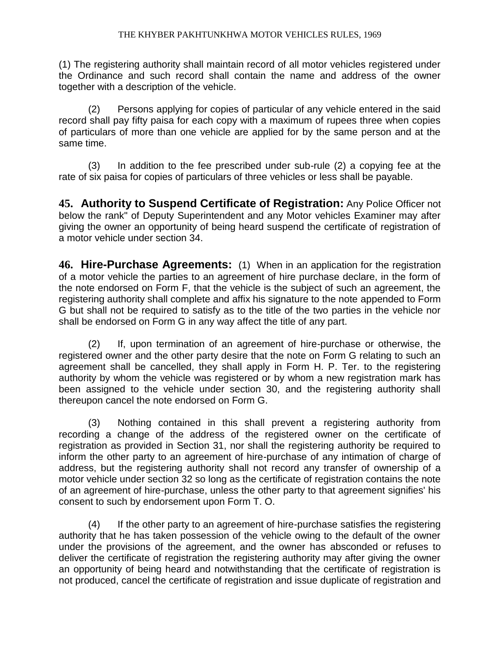(1) The registering authority shall maintain record of all motor vehicles registered under the Ordinance and such record shall contain the name and address of the owner together with a description of the vehicle.

(2) Persons applying for copies of particular of any vehicle entered in the said record shall pay fifty paisa for each copy with a maximum of rupees three when copies of particulars of more than one vehicle are applied for by the same person and at the same time.

(3) In addition to the fee prescribed under sub-rule (2) a copying fee at the rate of six paisa for copies of particulars of three vehicles or less shall be payable.

**45. Authority to Suspend Certificate of Registration:** Any Police Officer not below the rank" of Deputy Superintendent and any Motor vehicles Examiner may after giving the owner an opportunity of being heard suspend the certificate of registration of a motor vehicle under section 34.

**46. Hire-Purchase Agreements:** (1) When in an application for the registration of a motor vehicle the parties to an agreement of hire purchase declare, in the form of the note endorsed on Form F, that the vehicle is the subject of such an agreement, the registering authority shall complete and affix his signature to the note appended to Form G but shall not be required to satisfy as to the title of the two parties in the vehicle nor shall be endorsed on Form G in any way affect the title of any part.

(2) If, upon termination of an agreement of hire-purchase or otherwise, the registered owner and the other party desire that the note on Form G relating to such an agreement shall be cancelled, they shall apply in Form H. P. Ter. to the registering authority by whom the vehicle was registered or by whom a new registration mark has been assigned to the vehicle under section 30, and the registering authority shall thereupon cancel the note endorsed on Form G.

(3) Nothing contained in this shall prevent a registering authority from recording a change of the address of the registered owner on the certificate of registration as provided in Section 31, nor shall the registering authority be required to inform the other party to an agreement of hire-purchase of any intimation of charge of address, but the registering authority shall not record any transfer of ownership of a motor vehicle under section 32 so long as the certificate of registration contains the note of an agreement of hire-purchase, unless the other party to that agreement signifies' his consent to such by endorsement upon Form T. O.

(4) If the other party to an agreement of hire-purchase satisfies the registering authority that he has taken possession of the vehicle owing to the default of the owner under the provisions of the agreement, and the owner has absconded or refuses to deliver the certificate of registration the registering authority may after giving the owner an opportunity of being heard and notwithstanding that the certificate of registration is not produced, cancel the certificate of registration and issue duplicate of registration and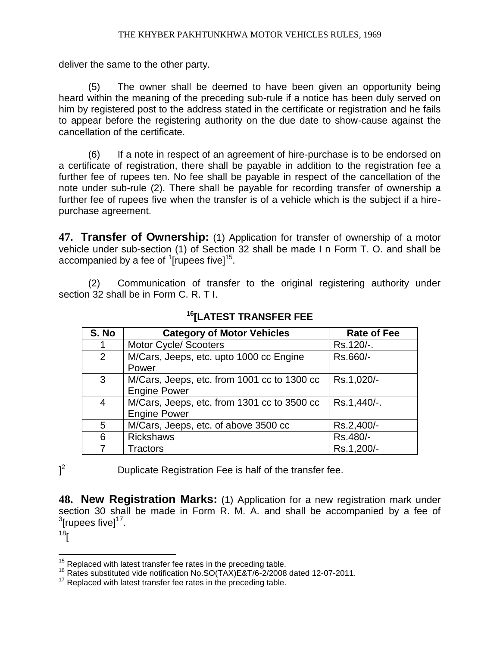deliver the same to the other party.

(5) The owner shall be deemed to have been given an opportunity being heard within the meaning of the preceding sub-rule if a notice has been duly served on him by registered post to the address stated in the certificate or registration and he fails to appear before the registering authority on the due date to show-cause against the cancellation of the certificate.

(6) If a note in respect of an agreement of hire-purchase is to be endorsed on a certificate of registration, there shall be payable in addition to the registration fee a further fee of rupees ten. No fee shall be payable in respect of the cancellation of the note under sub-rule (2). There shall be payable for recording transfer of ownership a further fee of rupees five when the transfer is of a vehicle which is the subject if a hirepurchase agreement.

**47. Transfer of Ownership:** (1) Application for transfer of ownership of a motor vehicle under sub-section (1) of Section 32 shall be made I n Form T. O. and shall be accompanied by a fee of  $\rm1$ [rupees five] $\rm15$ .

(2) Communication of transfer to the original registering authority under section 32 shall be in Form C. R. T I.

| S. No          | <b>Category of Motor Vehicles</b>                                  | <b>Rate of Fee</b> |
|----------------|--------------------------------------------------------------------|--------------------|
|                | <b>Motor Cycle/ Scooters</b>                                       | Rs.120/-.          |
| $\overline{2}$ | M/Cars, Jeeps, etc. upto 1000 cc Engine<br>Power                   | Rs.660/-           |
| 3              | M/Cars, Jeeps, etc. from 1001 cc to 1300 cc<br><b>Engine Power</b> | Rs.1,020/-         |
| $\overline{4}$ | M/Cars, Jeeps, etc. from 1301 cc to 3500 cc<br><b>Engine Power</b> | Rs.1,440/-.        |
| 5              | M/Cars, Jeeps, etc. of above 3500 cc                               | Rs.2,400/-         |
| 6              | <b>Rickshaws</b>                                                   | Rs.480/-           |
| 7              | Tractors                                                           | Rs.1,200/-         |

**<sup>16</sup>[LATEST TRANSFER FEE**

 $\vert$ <sup>2</sup>

Duplicate Registration Fee is half of the transfer fee.

**48. New Registration Marks:** (1) Application for a new registration mark under section 30 shall be made in Form R. M. A. and shall be accompanied by a fee of  $\rm{^{3}}$ [rupees five] $\rm{^{17}}$ .

 $18<sub>l</sub>$ 

 $\overline{a}$ 

 $15$  Replaced with latest transfer fee rates in the preceding table.

 $16$  Rates substituted vide notification No.SO(TAX)E&T/6-2/2008 dated 12-07-2011.

 $17$  Replaced with latest transfer fee rates in the preceding table.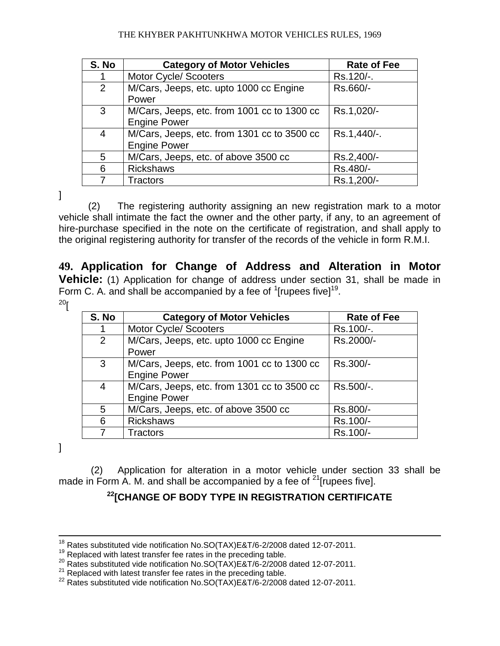| S. No          | <b>Category of Motor Vehicles</b>                                  | <b>Rate of Fee</b> |
|----------------|--------------------------------------------------------------------|--------------------|
| 1              | <b>Motor Cycle/ Scooters</b>                                       | Rs.120/-.          |
| $\overline{2}$ | M/Cars, Jeeps, etc. upto 1000 cc Engine<br>Power                   | Rs.660/-           |
| 3              | M/Cars, Jeeps, etc. from 1001 cc to 1300 cc<br><b>Engine Power</b> | Rs.1,020/-         |
| 4              | M/Cars, Jeeps, etc. from 1301 cc to 3500 cc<br><b>Engine Power</b> | Rs.1,440/-.        |
| 5              | M/Cars, Jeeps, etc. of above 3500 cc                               | Rs.2,400/-         |
| 6              | <b>Rickshaws</b>                                                   | Rs.480/-           |
| 7              | Tractors                                                           | Rs.1,200/-         |

]

(2) The registering authority assigning an new registration mark to a motor vehicle shall intimate the fact the owner and the other party, if any, to an agreement of hire-purchase specified in the note on the certificate of registration, and shall apply to the original registering authority for transfer of the records of the vehicle in form R.M.I.

**49. Application for Change of Address and Alteration in Motor Vehicle:** (1) Application for change of address under section 31, shall be made in Form C. A. and shall be accompanied by a fee of  $1$ [rupees five] $19$ .

 $20<sub>l</sub>$ 

| S. No | <b>Category of Motor Vehicles</b>           | Rate of Fee |
|-------|---------------------------------------------|-------------|
|       | Motor Cycle/ Scooters                       | Rs.100/-.   |
| 2     | M/Cars, Jeeps, etc. upto 1000 cc Engine     | Rs.2000/-   |
|       | Power                                       |             |
| 3     | M/Cars, Jeeps, etc. from 1001 cc to 1300 cc | Rs.300/-    |
|       | <b>Engine Power</b>                         |             |
| 4     | M/Cars, Jeeps, etc. from 1301 cc to 3500 cc | Rs.500/-.   |
|       | <b>Engine Power</b>                         |             |
| 5     | M/Cars, Jeeps, etc. of above 3500 cc        | Rs.800/-    |
| 6     | <b>Rickshaws</b>                            | Rs.100/-    |
|       | Tractors                                    | Rs.100/-    |

]

 $\overline{a}$ 

(2) Application for alteration in a motor vehicle under section 33 shall be made in Form A. M. and shall be accompanied by a fee of  $^{21}$ [rupees five].

### **<sup>22</sup>[CHANGE OF BODY TYPE IN REGISTRATION CERTIFICATE**

 $^{18}$  Rates substituted vide notification No.SO(TAX)E&T/6-2/2008 dated 12-07-2011.

 $19$  Replaced with latest transfer fee rates in the preceding table.

 $^{20}$  Rates substituted vide notification No.SO(TAX)E&T/6-2/2008 dated 12-07-2011.

 $21$  Replaced with latest transfer fee rates in the preceding table.

<sup>22</sup> Rates substituted vide notification No.SO(TAX)E&T/6-2/2008 dated 12-07-2011.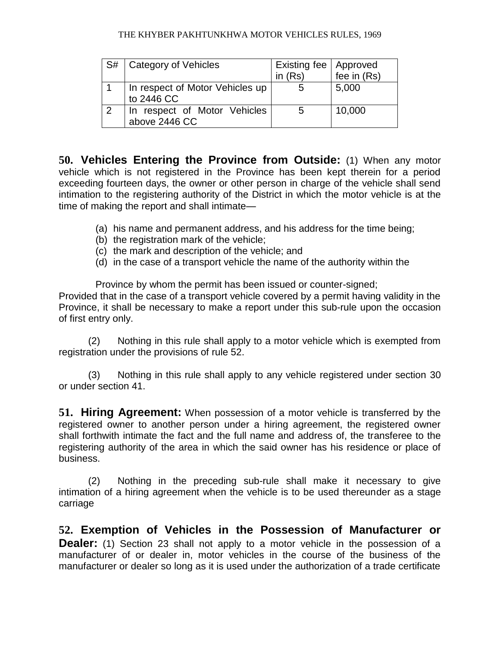| S# | Category of Vehicles                          | Existing fee   Approved<br>in $(Rs)$ | fee in (Rs) |
|----|-----------------------------------------------|--------------------------------------|-------------|
|    | In respect of Motor Vehicles up<br>to 2446 CC |                                      | 5,000       |
| 2  | In respect of Motor Vehicles<br>above 2446 CC | ხ                                    | 10,000      |

**50. Vehicles Entering the Province from Outside:** (1) When any motor vehicle which is not registered in the Province has been kept therein for a period exceeding fourteen days, the owner or other person in charge of the vehicle shall send intimation to the registering authority of the District in which the motor vehicle is at the time of making the report and shall intimate—

- (a) his name and permanent address, and his address for the time being;
- (b) the registration mark of the vehicle;
- (c) the mark and description of the vehicle; and
- (d) in the case of a transport vehicle the name of the authority within the

Province by whom the permit has been issued or counter-signed; Provided that in the case of a transport vehicle covered by a permit having validity in the Province, it shall be necessary to make a report under this sub-rule upon the occasion of first entry only.

(2) Nothing in this rule shall apply to a motor vehicle which is exempted from registration under the provisions of rule 52.

(3) Nothing in this rule shall apply to any vehicle registered under section 30 or under section 41.

**51. Hiring Agreement:** When possession of a motor vehicle is transferred by the registered owner to another person under a hiring agreement, the registered owner shall forthwith intimate the fact and the full name and address of, the transferee to the registering authority of the area in which the said owner has his residence or place of business.

(2) Nothing in the preceding sub-rule shall make it necessary to give intimation of a hiring agreement when the vehicle is to be used thereunder as a stage carriage

**52. Exemption of Vehicles in the Possession of Manufacturer or Dealer:** (1) Section 23 shall not apply to a motor vehicle in the possession of a manufacturer of or dealer in, motor vehicles in the course of the business of the manufacturer or dealer so long as it is used under the authorization of a trade certificate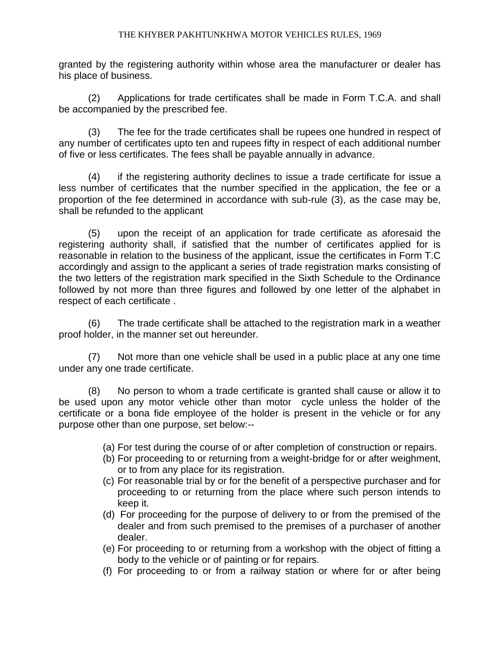granted by the registering authority within whose area the manufacturer or dealer has his place of business.

(2) Applications for trade certificates shall be made in Form T.C.A. and shall be accompanied by the prescribed fee.

(3) The fee for the trade certificates shall be rupees one hundred in respect of any number of certificates upto ten and rupees fifty in respect of each additional number of five or less certificates. The fees shall be payable annually in advance.

(4) if the registering authority declines to issue a trade certificate for issue a less number of certificates that the number specified in the application, the fee or a proportion of the fee determined in accordance with sub-rule (3), as the case may be, shall be refunded to the applicant

(5) upon the receipt of an application for trade certificate as aforesaid the registering authority shall, if satisfied that the number of certificates applied for is reasonable in relation to the business of the applicant, issue the certificates in Form T.C accordingly and assign to the applicant a series of trade registration marks consisting of the two letters of the registration mark specified in the Sixth Schedule to the Ordinance followed by not more than three figures and followed by one letter of the alphabet in respect of each certificate .

(6) The trade certificate shall be attached to the registration mark in a weather proof holder, in the manner set out hereunder.

(7) Not more than one vehicle shall be used in a public place at any one time under any one trade certificate.

(8) No person to whom a trade certificate is granted shall cause or allow it to be used upon any motor vehicle other than motor cycle unless the holder of the certificate or a bona fide employee of the holder is present in the vehicle or for any purpose other than one purpose, set below:--

- (a) For test during the course of or after completion of construction or repairs.
- (b) For proceeding to or returning from a weight-bridge for or after weighment, or to from any place for its registration.
- (c) For reasonable trial by or for the benefit of a perspective purchaser and for proceeding to or returning from the place where such person intends to keep it.
- (d) For proceeding for the purpose of delivery to or from the premised of the dealer and from such premised to the premises of a purchaser of another dealer.
- (e) For proceeding to or returning from a workshop with the object of fitting a body to the vehicle or of painting or for repairs.
- (f) For proceeding to or from a railway station or where for or after being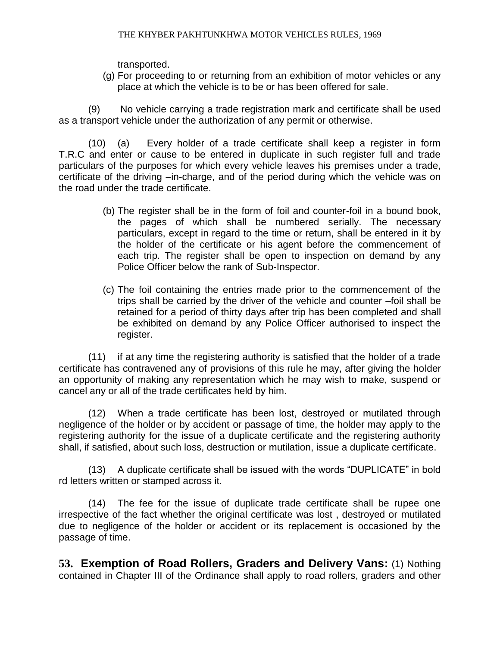transported.

(g) For proceeding to or returning from an exhibition of motor vehicles or any place at which the vehicle is to be or has been offered for sale.

(9) No vehicle carrying a trade registration mark and certificate shall be used as a transport vehicle under the authorization of any permit or otherwise.

(10) (a) Every holder of a trade certificate shall keep a register in form T.R.C and enter or cause to be entered in duplicate in such register full and trade particulars of the purposes for which every vehicle leaves his premises under a trade, certificate of the driving –in-charge, and of the period during which the vehicle was on the road under the trade certificate.

- (b) The register shall be in the form of foil and counter-foil in a bound book, the pages of which shall be numbered serially. The necessary particulars, except in regard to the time or return, shall be entered in it by the holder of the certificate or his agent before the commencement of each trip. The register shall be open to inspection on demand by any Police Officer below the rank of Sub-Inspector.
- (c) The foil containing the entries made prior to the commencement of the trips shall be carried by the driver of the vehicle and counter –foil shall be retained for a period of thirty days after trip has been completed and shall be exhibited on demand by any Police Officer authorised to inspect the register.

(11) if at any time the registering authority is satisfied that the holder of a trade certificate has contravened any of provisions of this rule he may, after giving the holder an opportunity of making any representation which he may wish to make, suspend or cancel any or all of the trade certificates held by him.

(12) When a trade certificate has been lost, destroyed or mutilated through negligence of the holder or by accident or passage of time, the holder may apply to the registering authority for the issue of a duplicate certificate and the registering authority shall, if satisfied, about such loss, destruction or mutilation, issue a duplicate certificate.

(13) A duplicate certificate shall be issued with the words "DUPLICATE" in bold rd letters written or stamped across it.

(14) The fee for the issue of duplicate trade certificate shall be rupee one irrespective of the fact whether the original certificate was lost , destroyed or mutilated due to negligence of the holder or accident or its replacement is occasioned by the passage of time.

**53. Exemption of Road Rollers, Graders and Delivery Vans:** (1) Nothing contained in Chapter III of the Ordinance shall apply to road rollers, graders and other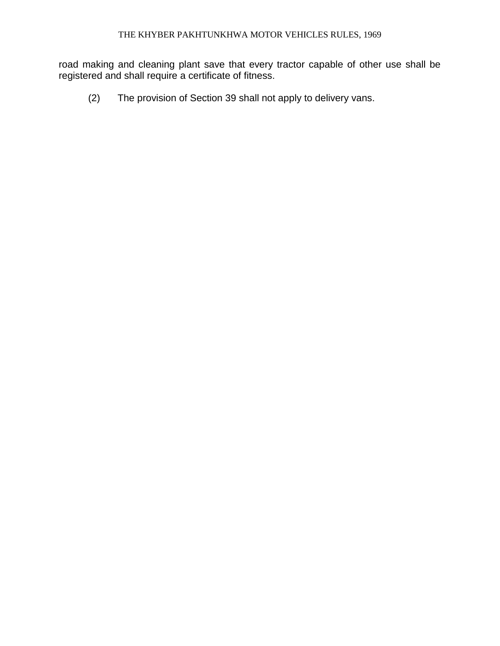road making and cleaning plant save that every tractor capable of other use shall be registered and shall require a certificate of fitness.

(2) The provision of Section 39 shall not apply to delivery vans.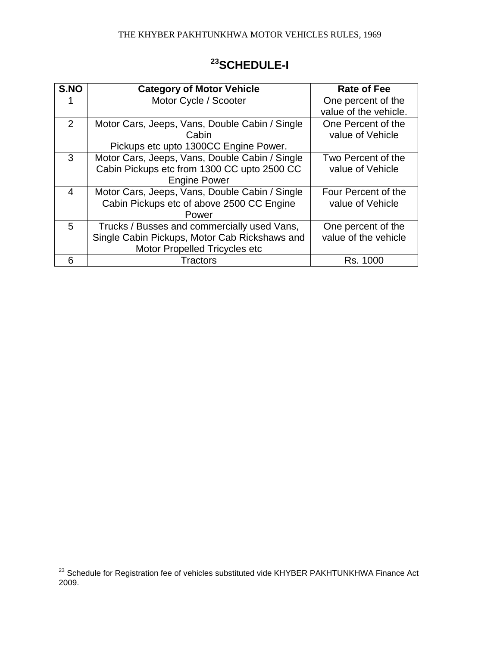| S.NO | <b>Category of Motor Vehicle</b>               | <b>Rate of Fee</b>    |
|------|------------------------------------------------|-----------------------|
|      | Motor Cycle / Scooter                          | One percent of the    |
|      |                                                | value of the vehicle. |
| 2    | Motor Cars, Jeeps, Vans, Double Cabin / Single | One Percent of the    |
|      |                                                |                       |
|      | Cabin                                          | value of Vehicle      |
|      | Pickups etc upto 1300CC Engine Power.          |                       |
| 3    | Motor Cars, Jeeps, Vans, Double Cabin / Single | Two Percent of the    |
|      | Cabin Pickups etc from 1300 CC upto 2500 CC    | value of Vehicle      |
|      | <b>Engine Power</b>                            |                       |
| 4    | Motor Cars, Jeeps, Vans, Double Cabin / Single | Four Percent of the   |
|      | Cabin Pickups etc of above 2500 CC Engine      | value of Vehicle      |
|      | Power                                          |                       |
| 5    | Trucks / Busses and commercially used Vans,    | One percent of the    |
|      | Single Cabin Pickups, Motor Cab Rickshaws and  | value of the vehicle  |
|      | Motor Propelled Tricycles etc                  |                       |
| 6    | Tractors                                       | Rs. 1000              |

# **<sup>23</sup>SCHEDULE-I**

 $\overline{a}$ 

 $^{23}$  Schedule for Registration fee of vehicles substituted vide KHYBER PAKHTUNKHWA Finance Act 2009.